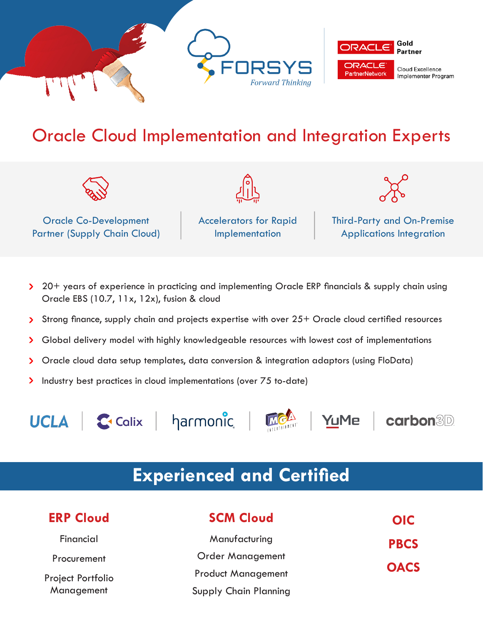

### Oracle Cloud Implementation and Integration Experts



Oracle Co-Development Partner (Supply Chain Cloud) Accelerators for Rapid Implementation



Third-Party and On-Premise Applications Integration

- > 20+ years of experience in practicing and implementing Oracle ERP financials & supply chain using Oracle EBS (10.7, 11x, 12x), fusion & cloud
- Strong finance, supply chain and projects expertise with over 25+ Oracle cloud certified resources  $\blacktriangleright$
- Global delivery model with highly knowledgeable resources with lowest cost of implementations  $\mathbf{\Sigma}$
- Oracle cloud data setup templates, data conversion & integration adaptors (using FloData)  $\blacktriangleright$
- ⋗ Industry best practices in cloud implementations (over 75 to-date)



Calix | harmonic |



YuMe

**carbon3D** 

#### **Experienced and Certified**

| <b>ERP Cloud</b>                | <b>SCM Cloud</b>             | <b>OIC</b>                 |
|---------------------------------|------------------------------|----------------------------|
| Financial                       | Manufacturing                | <b>PBCS</b><br><b>OACS</b> |
| Procurement                     | <b>Order Management</b>      |                            |
| Project Portfolio<br>Management | <b>Product Management</b>    |                            |
|                                 | <b>Supply Chain Planning</b> |                            |